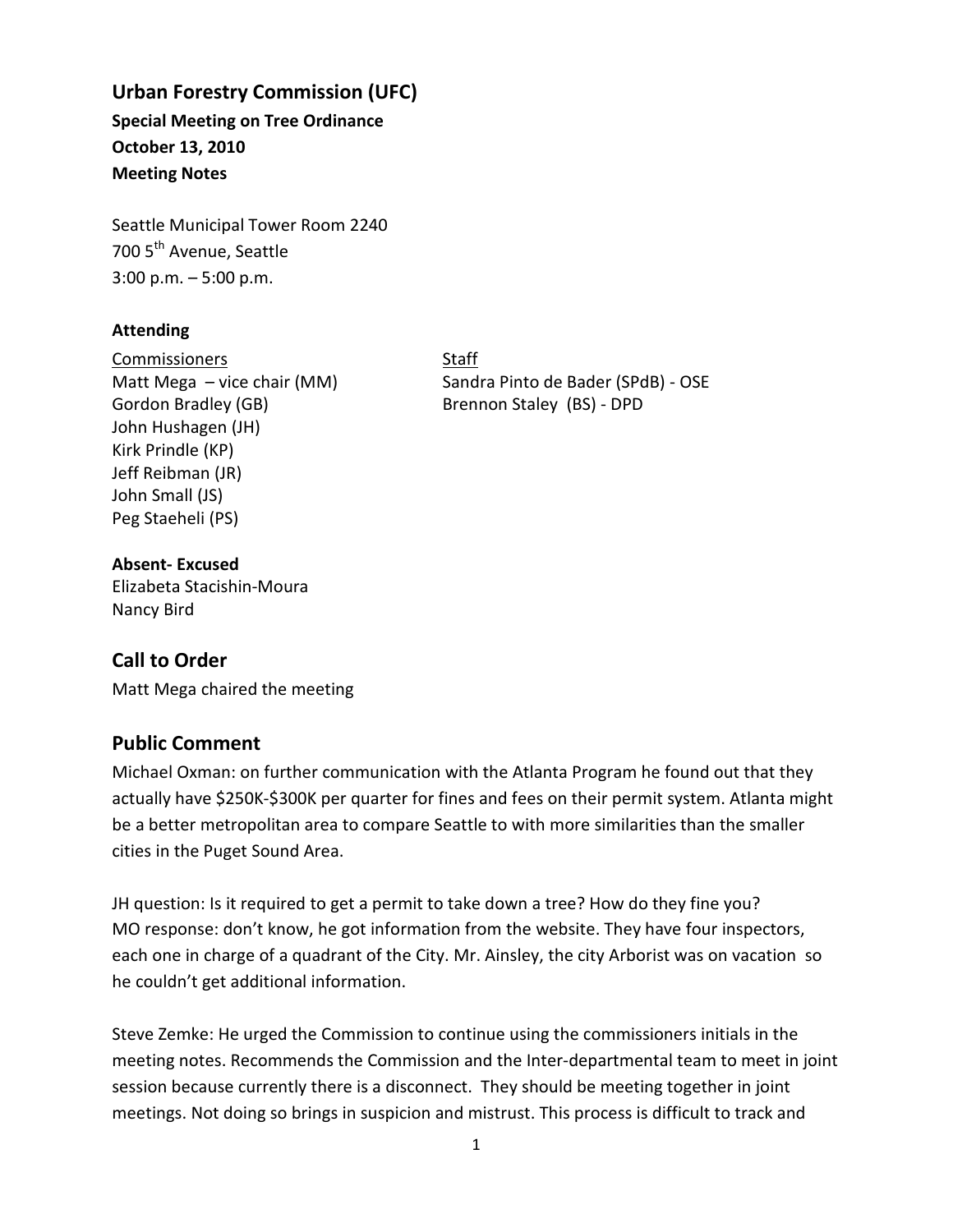# **Urban Forestry Commission (UFC) Special Meeting on Tree Ordinance October 13, 2010**

**Meeting Notes** 

Seattle Municipal Tower Room 2240 700 5<sup>th</sup> Avenue, Seattle 3:00 p.m. – 5:00 p.m.

#### **Attending**

Commissioners Staff Gordon Bradley (GB) Brennon Staley (BS) - DPD John Hushagen (JH) Kirk Prindle (KP) Jeff Reibman (JR) John Small (JS) Peg Staeheli (PS)

Matt Mega – vice chair (MM) Sandra Pinto de Bader (SPdB) - OSE

#### **Absent- Excused** Elizabeta Stacishin-Moura Nancy Bird

# **Call to Order**

Matt Mega chaired the meeting

### **Public Comment**

Michael Oxman: on further communication with the Atlanta Program he found out that they actually have \$250K-\$300K per quarter for fines and fees on their permit system. Atlanta might be a better metropolitan area to compare Seattle to with more similarities than the smaller cities in the Puget Sound Area.

JH question: Is it required to get a permit to take down a tree? How do they fine you? MO response: don't know, he got information from the website. They have four inspectors, each one in charge of a quadrant of the City. Mr. Ainsley, the city Arborist was on vacation so he couldn't get additional information.

Steve Zemke: He urged the Commission to continue using the commissioners initials in the meeting notes. Recommends the Commission and the Inter-departmental team to meet in joint session because currently there is a disconnect. They should be meeting together in joint meetings. Not doing so brings in suspicion and mistrust. This process is difficult to track and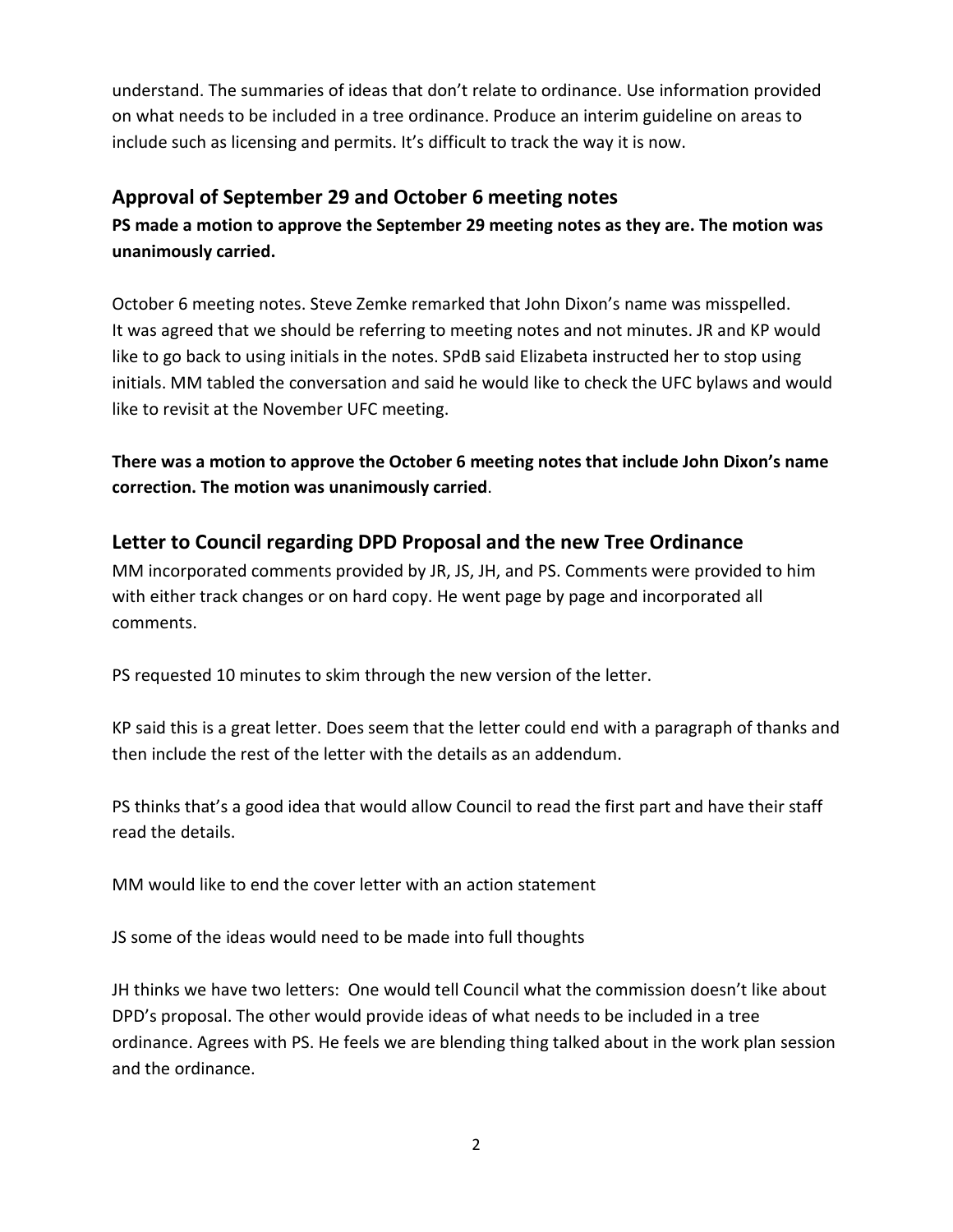understand. The summaries of ideas that don't relate to ordinance. Use information provided on what needs to be included in a tree ordinance. Produce an interim guideline on areas to include such as licensing and permits. It's difficult to track the way it is now.

# **Approval of September 29 and October 6 meeting notes**

**PS made a motion to approve the September 29 meeting notes as they are. The motion was unanimously carried.**

October 6 meeting notes. Steve Zemke remarked that John Dixon's name was misspelled. It was agreed that we should be referring to meeting notes and not minutes. JR and KP would like to go back to using initials in the notes. SPdB said Elizabeta instructed her to stop using initials. MM tabled the conversation and said he would like to check the UFC bylaws and would like to revisit at the November UFC meeting.

**There was a motion to approve the October 6 meeting notes that include John Dixon's name correction. The motion was unanimously carried**.

# **Letter to Council regarding DPD Proposal and the new Tree Ordinance**

MM incorporated comments provided by JR, JS, JH, and PS. Comments were provided to him with either track changes or on hard copy. He went page by page and incorporated all comments.

PS requested 10 minutes to skim through the new version of the letter.

KP said this is a great letter. Does seem that the letter could end with a paragraph of thanks and then include the rest of the letter with the details as an addendum.

PS thinks that's a good idea that would allow Council to read the first part and have their staff read the details.

MM would like to end the cover letter with an action statement

JS some of the ideas would need to be made into full thoughts

JH thinks we have two letters: One would tell Council what the commission doesn't like about DPD's proposal. The other would provide ideas of what needs to be included in a tree ordinance. Agrees with PS. He feels we are blending thing talked about in the work plan session and the ordinance.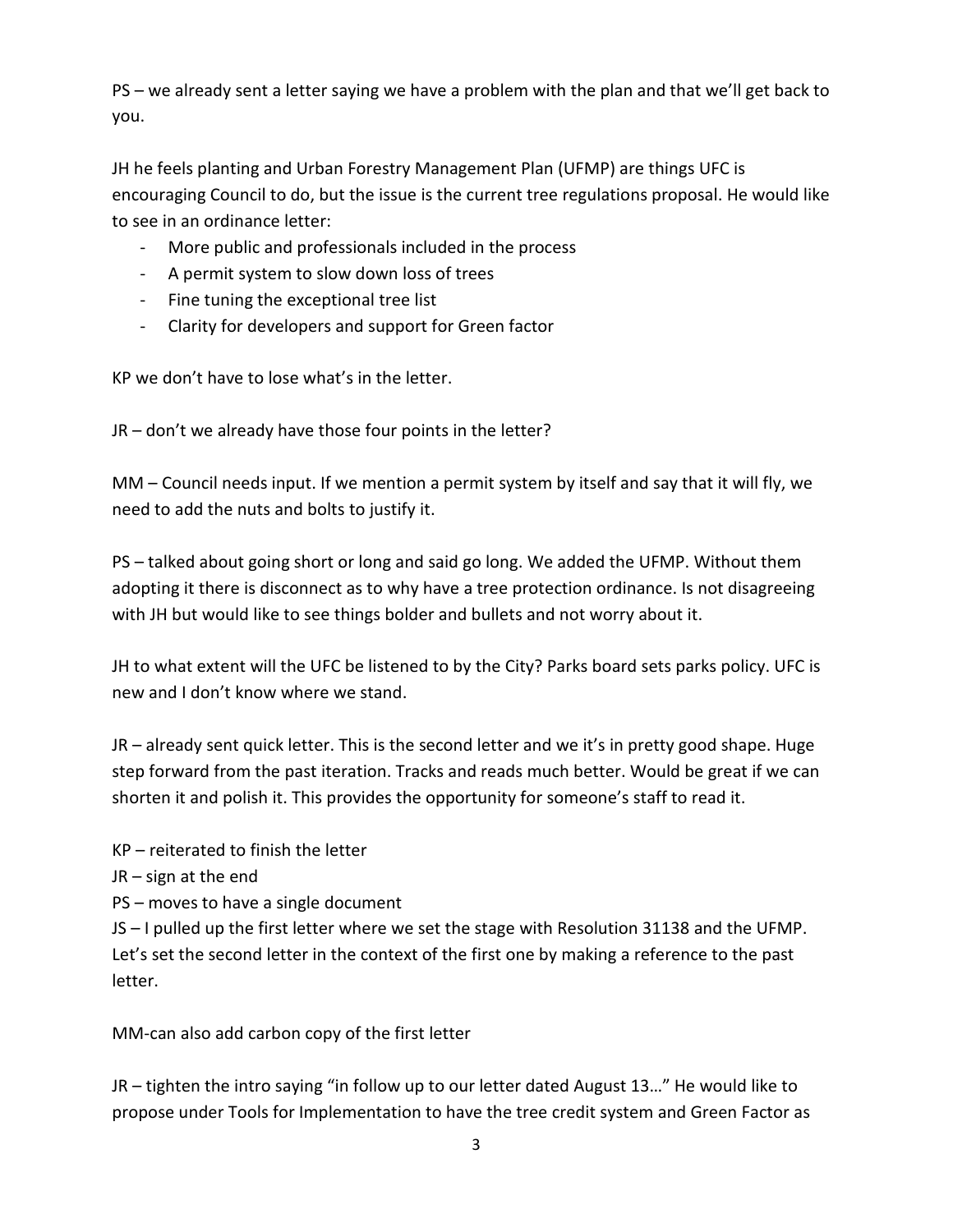PS – we already sent a letter saying we have a problem with the plan and that we'll get back to you.

JH he feels planting and Urban Forestry Management Plan (UFMP) are things UFC is encouraging Council to do, but the issue is the current tree regulations proposal. He would like to see in an ordinance letter:

- More public and professionals included in the process
- A permit system to slow down loss of trees
- Fine tuning the exceptional tree list
- Clarity for developers and support for Green factor

KP we don't have to lose what's in the letter.

JR – don't we already have those four points in the letter?

MM – Council needs input. If we mention a permit system by itself and say that it will fly, we need to add the nuts and bolts to justify it.

PS – talked about going short or long and said go long. We added the UFMP. Without them adopting it there is disconnect as to why have a tree protection ordinance. Is not disagreeing with JH but would like to see things bolder and bullets and not worry about it.

JH to what extent will the UFC be listened to by the City? Parks board sets parks policy. UFC is new and I don't know where we stand.

JR – already sent quick letter. This is the second letter and we it's in pretty good shape. Huge step forward from the past iteration. Tracks and reads much better. Would be great if we can shorten it and polish it. This provides the opportunity for someone's staff to read it.

KP – reiterated to finish the letter

JR – sign at the end

PS – moves to have a single document

JS – I pulled up the first letter where we set the stage with Resolution 31138 and the UFMP. Let's set the second letter in the context of the first one by making a reference to the past letter.

MM-can also add carbon copy of the first letter

JR – tighten the intro saying "in follow up to our letter dated August 13…" He would like to propose under Tools for Implementation to have the tree credit system and Green Factor as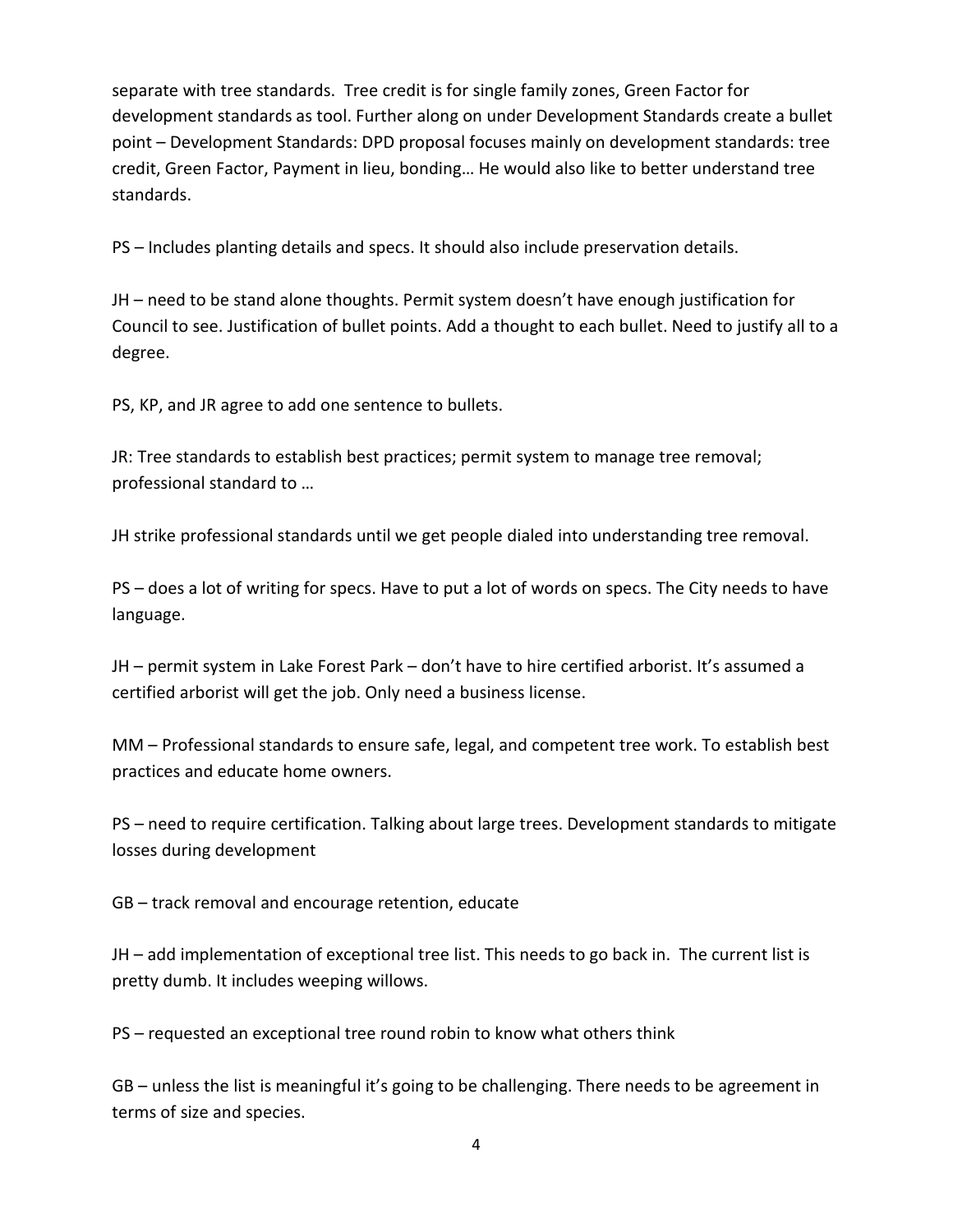separate with tree standards. Tree credit is for single family zones, Green Factor for development standards as tool. Further along on under Development Standards create a bullet point – Development Standards: DPD proposal focuses mainly on development standards: tree credit, Green Factor, Payment in lieu, bonding… He would also like to better understand tree standards.

PS – Includes planting details and specs. It should also include preservation details.

JH – need to be stand alone thoughts. Permit system doesn't have enough justification for Council to see. Justification of bullet points. Add a thought to each bullet. Need to justify all to a degree.

PS, KP, and JR agree to add one sentence to bullets.

JR: Tree standards to establish best practices; permit system to manage tree removal; professional standard to …

JH strike professional standards until we get people dialed into understanding tree removal.

PS – does a lot of writing for specs. Have to put a lot of words on specs. The City needs to have language.

JH – permit system in Lake Forest Park – don't have to hire certified arborist. It's assumed a certified arborist will get the job. Only need a business license.

MM – Professional standards to ensure safe, legal, and competent tree work. To establish best practices and educate home owners.

PS – need to require certification. Talking about large trees. Development standards to mitigate losses during development

GB – track removal and encourage retention, educate

JH – add implementation of exceptional tree list. This needs to go back in. The current list is pretty dumb. It includes weeping willows.

PS – requested an exceptional tree round robin to know what others think

GB – unless the list is meaningful it's going to be challenging. There needs to be agreement in terms of size and species.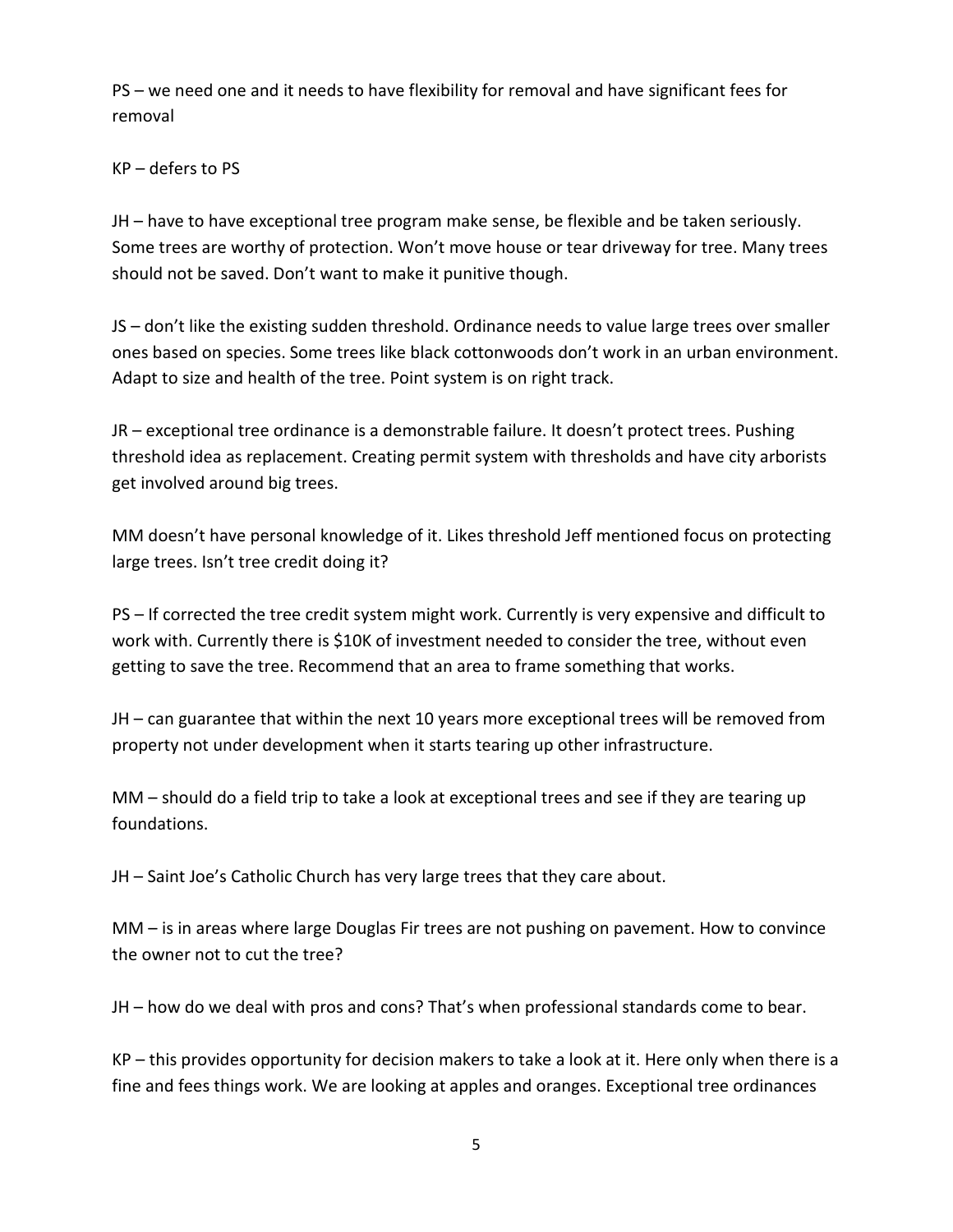PS – we need one and it needs to have flexibility for removal and have significant fees for removal

#### KP – defers to PS

JH – have to have exceptional tree program make sense, be flexible and be taken seriously. Some trees are worthy of protection. Won't move house or tear driveway for tree. Many trees should not be saved. Don't want to make it punitive though.

JS – don't like the existing sudden threshold. Ordinance needs to value large trees over smaller ones based on species. Some trees like black cottonwoods don't work in an urban environment. Adapt to size and health of the tree. Point system is on right track.

JR – exceptional tree ordinance is a demonstrable failure. It doesn't protect trees. Pushing threshold idea as replacement. Creating permit system with thresholds and have city arborists get involved around big trees.

MM doesn't have personal knowledge of it. Likes threshold Jeff mentioned focus on protecting large trees. Isn't tree credit doing it?

PS – If corrected the tree credit system might work. Currently is very expensive and difficult to work with. Currently there is \$10K of investment needed to consider the tree, without even getting to save the tree. Recommend that an area to frame something that works.

JH – can guarantee that within the next 10 years more exceptional trees will be removed from property not under development when it starts tearing up other infrastructure.

MM – should do a field trip to take a look at exceptional trees and see if they are tearing up foundations.

JH – Saint Joe's Catholic Church has very large trees that they care about.

MM – is in areas where large Douglas Fir trees are not pushing on pavement. How to convince the owner not to cut the tree?

JH – how do we deal with pros and cons? That's when professional standards come to bear.

KP – this provides opportunity for decision makers to take a look at it. Here only when there is a fine and fees things work. We are looking at apples and oranges. Exceptional tree ordinances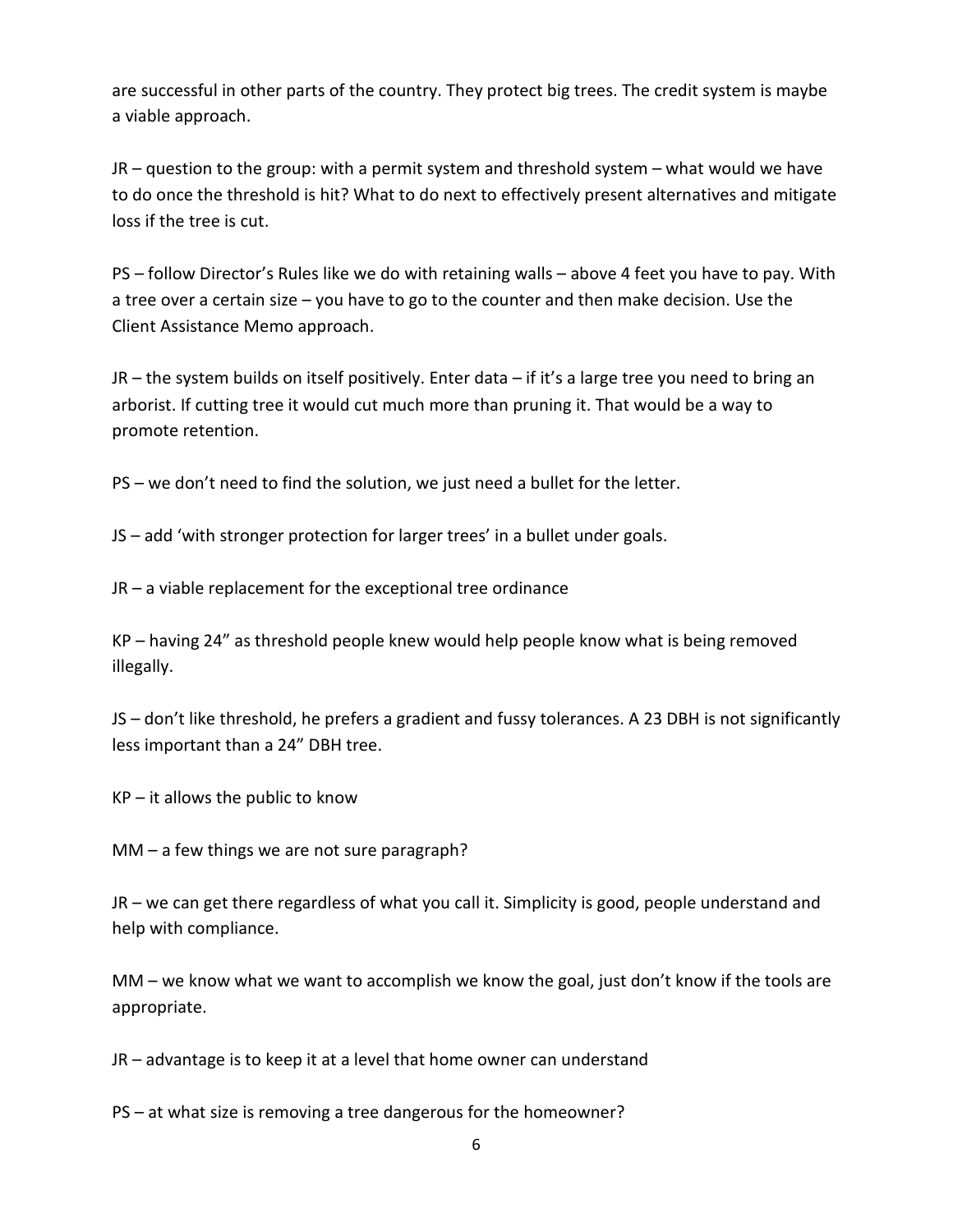are successful in other parts of the country. They protect big trees. The credit system is maybe a viable approach.

JR – question to the group: with a permit system and threshold system – what would we have to do once the threshold is hit? What to do next to effectively present alternatives and mitigate loss if the tree is cut.

PS – follow Director's Rules like we do with retaining walls – above 4 feet you have to pay. With a tree over a certain size – you have to go to the counter and then make decision. Use the Client Assistance Memo approach.

JR – the system builds on itself positively. Enter data – if it's a large tree you need to bring an arborist. If cutting tree it would cut much more than pruning it. That would be a way to promote retention.

PS – we don't need to find the solution, we just need a bullet for the letter.

JS – add 'with stronger protection for larger trees' in a bullet under goals.

JR – a viable replacement for the exceptional tree ordinance

KP – having 24" as threshold people knew would help people know what is being removed illegally.

JS – don't like threshold, he prefers a gradient and fussy tolerances. A 23 DBH is not significantly less important than a 24" DBH tree.

 $KP - it$  allows the public to know

MM – a few things we are not sure paragraph?

JR – we can get there regardless of what you call it. Simplicity is good, people understand and help with compliance.

MM – we know what we want to accomplish we know the goal, just don't know if the tools are appropriate.

JR – advantage is to keep it at a level that home owner can understand

PS – at what size is removing a tree dangerous for the homeowner?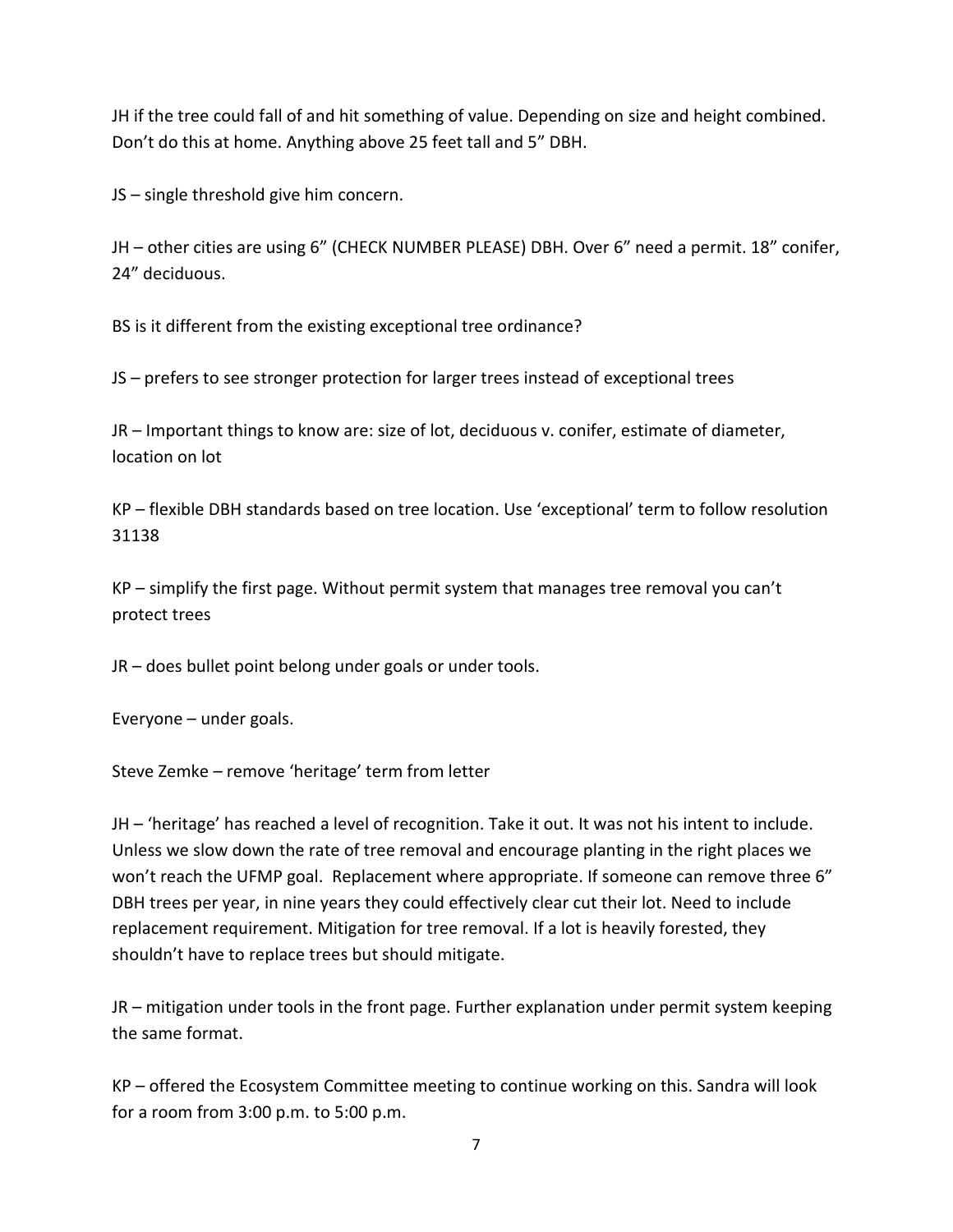JH if the tree could fall of and hit something of value. Depending on size and height combined. Don't do this at home. Anything above 25 feet tall and 5" DBH.

JS – single threshold give him concern.

JH – other cities are using 6" (CHECK NUMBER PLEASE) DBH. Over 6" need a permit. 18" conifer, 24" deciduous.

BS is it different from the existing exceptional tree ordinance?

JS – prefers to see stronger protection for larger trees instead of exceptional trees

JR – Important things to know are: size of lot, deciduous v. conifer, estimate of diameter, location on lot

KP – flexible DBH standards based on tree location. Use 'exceptional' term to follow resolution 31138

 $KP$  – simplify the first page. Without permit system that manages tree removal you can't protect trees

JR – does bullet point belong under goals or under tools.

Everyone – under goals.

Steve Zemke – remove 'heritage' term from letter

JH – 'heritage' has reached a level of recognition. Take it out. It was not his intent to include. Unless we slow down the rate of tree removal and encourage planting in the right places we won't reach the UFMP goal. Replacement where appropriate. If someone can remove three 6" DBH trees per year, in nine years they could effectively clear cut their lot. Need to include replacement requirement. Mitigation for tree removal. If a lot is heavily forested, they shouldn't have to replace trees but should mitigate.

JR – mitigation under tools in the front page. Further explanation under permit system keeping the same format.

KP – offered the Ecosystem Committee meeting to continue working on this. Sandra will look for a room from 3:00 p.m. to 5:00 p.m.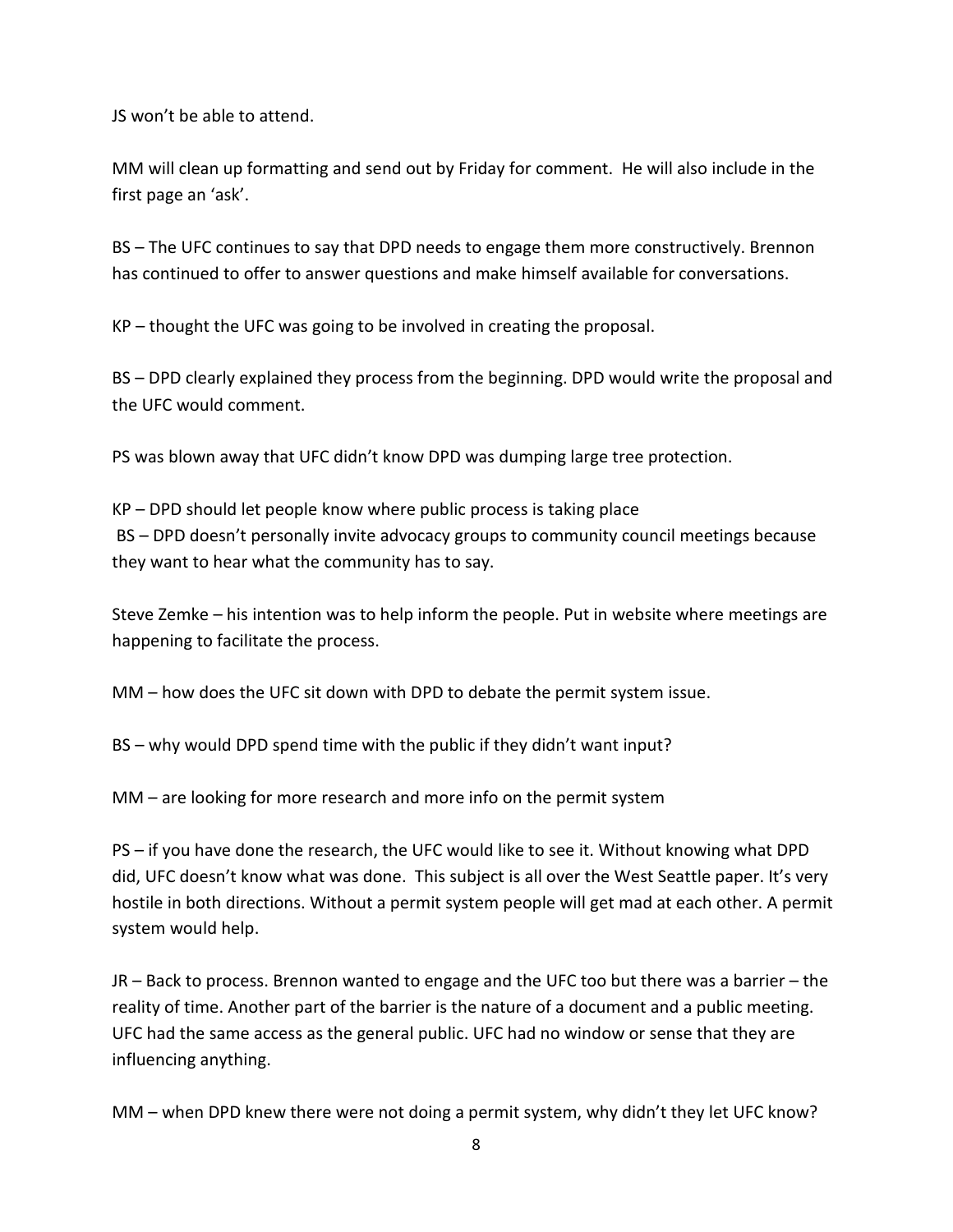JS won't be able to attend.

MM will clean up formatting and send out by Friday for comment. He will also include in the first page an 'ask'.

BS – The UFC continues to say that DPD needs to engage them more constructively. Brennon has continued to offer to answer questions and make himself available for conversations.

KP – thought the UFC was going to be involved in creating the proposal.

BS – DPD clearly explained they process from the beginning. DPD would write the proposal and the UFC would comment.

PS was blown away that UFC didn't know DPD was dumping large tree protection.

KP – DPD should let people know where public process is taking place BS – DPD doesn't personally invite advocacy groups to community council meetings because they want to hear what the community has to say.

Steve Zemke – his intention was to help inform the people. Put in website where meetings are happening to facilitate the process.

MM – how does the UFC sit down with DPD to debate the permit system issue.

BS – why would DPD spend time with the public if they didn't want input?

MM – are looking for more research and more info on the permit system

PS – if you have done the research, the UFC would like to see it. Without knowing what DPD did, UFC doesn't know what was done. This subject is all over the West Seattle paper. It's very hostile in both directions. Without a permit system people will get mad at each other. A permit system would help.

JR – Back to process. Brennon wanted to engage and the UFC too but there was a barrier – the reality of time. Another part of the barrier is the nature of a document and a public meeting. UFC had the same access as the general public. UFC had no window or sense that they are influencing anything.

MM – when DPD knew there were not doing a permit system, why didn't they let UFC know?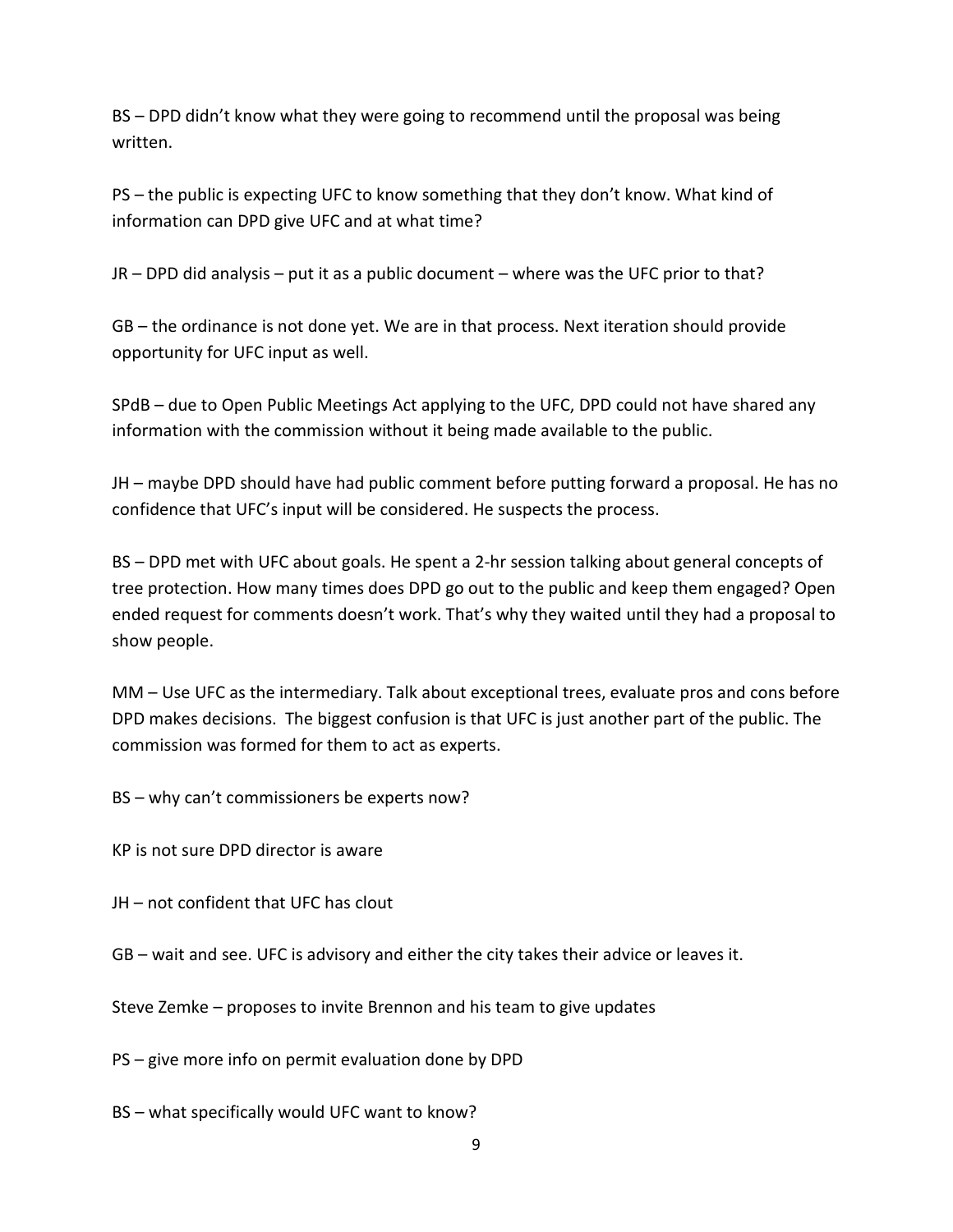BS – DPD didn't know what they were going to recommend until the proposal was being written.

PS – the public is expecting UFC to know something that they don't know. What kind of information can DPD give UFC and at what time?

JR – DPD did analysis – put it as a public document – where was the UFC prior to that?

GB – the ordinance is not done yet. We are in that process. Next iteration should provide opportunity for UFC input as well.

SPdB – due to Open Public Meetings Act applying to the UFC, DPD could not have shared any information with the commission without it being made available to the public.

JH – maybe DPD should have had public comment before putting forward a proposal. He has no confidence that UFC's input will be considered. He suspects the process.

BS – DPD met with UFC about goals. He spent a 2-hr session talking about general concepts of tree protection. How many times does DPD go out to the public and keep them engaged? Open ended request for comments doesn't work. That's why they waited until they had a proposal to show people.

MM – Use UFC as the intermediary. Talk about exceptional trees, evaluate pros and cons before DPD makes decisions. The biggest confusion is that UFC is just another part of the public. The commission was formed for them to act as experts.

BS – why can't commissioners be experts now?

KP is not sure DPD director is aware

JH – not confident that UFC has clout

GB – wait and see. UFC is advisory and either the city takes their advice or leaves it.

Steve Zemke – proposes to invite Brennon and his team to give updates

PS – give more info on permit evaluation done by DPD

BS – what specifically would UFC want to know?